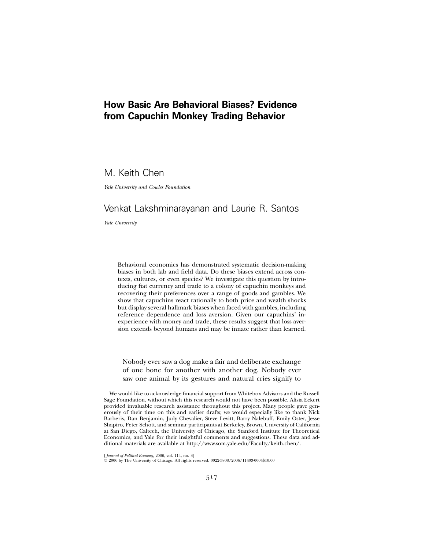# **How Basic Are Behavioral Biases? Evidence from Capuchin Monkey Trading Behavior**

## M. Keith Chen

*Yale University and Cowles Foundation*

## Venkat Lakshminarayanan and Laurie R. Santos

*Yale University*

Behavioral economics has demonstrated systematic decision-making biases in both lab and field data. Do these biases extend across contexts, cultures, or even species? We investigate this question by introducing fiat currency and trade to a colony of capuchin monkeys and recovering their preferences over a range of goods and gambles. We show that capuchins react rationally to both price and wealth shocks but display several hallmark biases when faced with gambles, including reference dependence and loss aversion. Given our capuchins' inexperience with money and trade, these results suggest that loss aversion extends beyond humans and may be innate rather than learned.

Nobody ever saw a dog make a fair and deliberate exchange of one bone for another with another dog. Nobody ever saw one animal by its gestures and natural cries signify to

We would like to acknowledge financial support from Whitebox Advisors and the Russell Sage Foundation, without which this research would not have been possible. Alisia Eckert provided invaluable research assistance throughout this project. Many people gave generously of their time on this and earlier drafts; we would especially like to thank Nick Barberis, Dan Benjamin, Judy Chevalier, Steve Levitt, Barry Nalebuff, Emily Oster, Jesse Shapiro, Peter Schott, and seminar participants at Berkeley, Brown, University of California at San Diego, Caltech, the University of Chicago, the Stanford Institute for Theoretical Economics, and Yale for their insightful comments and suggestions. These data and additional materials are available at http://www.som.yale.edu/Faculty/keith.chen/.

[*Journal of Political Econom*y, 2006, vol. 114, no. 3]<br>© 2006 by The University of Chicago. All rights reserved. 0022-3808/2006/11403-0004\$10.00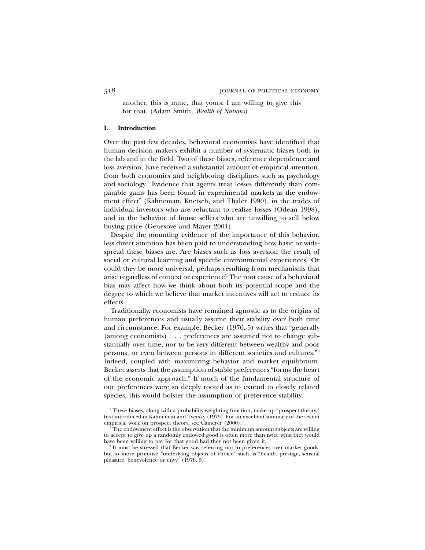another, this is mine, that yours; I am willing to give this for that. (Adam Smith, *Wealth of Nations*)

#### **I. Introduction**

Over the past few decades, behavioral economists have identified that human decision makers exhibit a number of systematic biases both in the lab and in the field. Two of these biases, reference dependence and loss aversion, have received a substantial amount of empirical attention, from both economics and neighboring disciplines such as psychology and sociology.<sup>1</sup> Evidence that agents treat losses differently than comparable gains has been found in experimental markets as the endowment effect<sup>2</sup> (Kahneman, Knetsch, and Thaler 1990), in the trades of individual investors who are reluctant to realize losses (Odean 1998), and in the behavior of house sellers who are unwilling to sell below buying price (Genesove and Mayer 2001).

Despite the mounting evidence of the importance of this behavior, less direct attention has been paid to understanding how basic or widespread these biases are. Are biases such as loss aversion the result of social or cultural learning and specific environmental experiences? Or could they be more universal, perhaps resulting from mechanisms that arise regardless of context or experience? The root cause of a behavioral bias may affect how we think about both its potential scope and the degree to which we believe that market incentives will act to reduce its effects.

Traditionally, economists have remained agnostic as to the origins of human preferences and usually assume their stability over both time and circumstance. For example, Becker (1976, 5) writes that "generally (among economists) . . . preferences are assumed not to change substantially over time, nor to be very different between wealthy and poor persons, or even between persons in different societies and cultures."<sup>3</sup> Indeed, coupled with maximizing behavior and market equilibrium, Becker asserts that the assumption of stable preferences "forms the heart of the economic approach." If much of the fundamental structure of our preferences were so deeply rooted as to extend to closely related species, this would bolster the assumption of preference stability.

<sup>&</sup>lt;sup>1</sup> These biases, along with a probability-weighting function, make up "prospect theory," first introduced in Kahneman and Tversky (1979). For an excellent summary of the recent empirical work on prospect theory, see Camerer (2000).

<sup>2</sup> The endowment effect is the observation that the minimum amount subjects are willing to accept to give up a randomly endowed good is often more than twice what they would have been willing to pay for that good had they not been given it.

<sup>&</sup>lt;sup>3</sup> It must be stressed that Becker was referring not to preferences over market goods, but to more primitive "underlying objects of choice" such as "health, prestige, sensual pleasure, benevolence or envy" (1976, 5).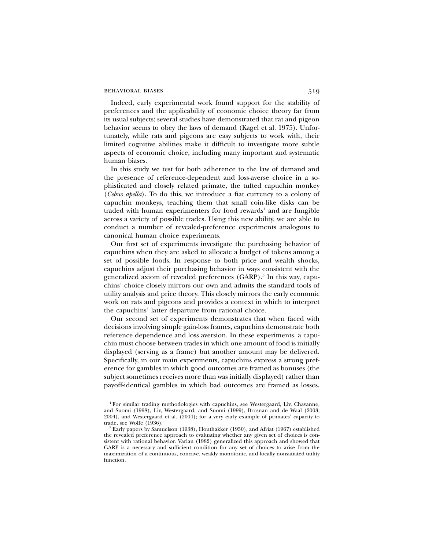Indeed, early experimental work found support for the stability of preferences and the applicability of economic choice theory far from its usual subjects; several studies have demonstrated that rat and pigeon behavior seems to obey the laws of demand (Kagel et al. 1975). Unfortunately, while rats and pigeons are easy subjects to work with, their limited cognitive abilities make it difficult to investigate more subtle aspects of economic choice, including many important and systematic human biases.

In this study we test for both adherence to the law of demand and the presence of reference-dependent and loss-averse choice in a sophisticated and closely related primate, the tufted capuchin monkey (*Cebus apella*). To do this, we introduce a fiat currency to a colony of capuchin monkeys, teaching them that small coin-like disks can be traded with human experimenters for food rewards<sup>4</sup> and are fungible across a variety of possible trades. Using this new ability, we are able to conduct a number of revealed-preference experiments analogous to canonical human choice experiments.

Our first set of experiments investigate the purchasing behavior of capuchins when they are asked to allocate a budget of tokens among a set of possible foods. In response to both price and wealth shocks, capuchins adjust their purchasing behavior in ways consistent with the generalized axiom of revealed preferences (GARP).<sup>5</sup> In this way, capuchins' choice closely mirrors our own and admits the standard tools of utility analysis and price theory. This closely mirrors the early economic work on rats and pigeons and provides a context in which to interpret the capuchins' latter departure from rational choice.

Our second set of experiments demonstrates that when faced with decisions involving simple gain-loss frames, capuchins demonstrate both reference dependence and loss aversion. In these experiments, a capuchin must choose between trades in which one amount of food is initially displayed (serving as a frame) but another amount may be delivered. Specifically, in our main experiments, capuchins express a strong preference for gambles in which good outcomes are framed as bonuses (the subject sometimes receives more than was initially displayed) rather than payoff-identical gambles in which bad outcomes are framed as losses.

<sup>4</sup> For similar trading methodologies with capuchins, see Westergaard, Liv, Chavanne, and Suomi (1998), Liv, Westergaard, and Suomi (1999), Brosnan and de Waal (2003, 2004), and Westergaard et al. (2004); for a very early example of primates' capacity to trade, see Wolfe (1936).

<sup>5</sup> Early papers by Samuelson (1938), Houthakker (1950), and Afriat (1967) established the revealed preference approach to evaluating whether any given set of choices is consistent with rational behavior. Varian (1982) generalized this approach and showed that GARP is a necessary and sufficient condition for any set of choices to arise from the maximization of a continuous, concave, weakly monotonic, and locally nonsatiated utility function.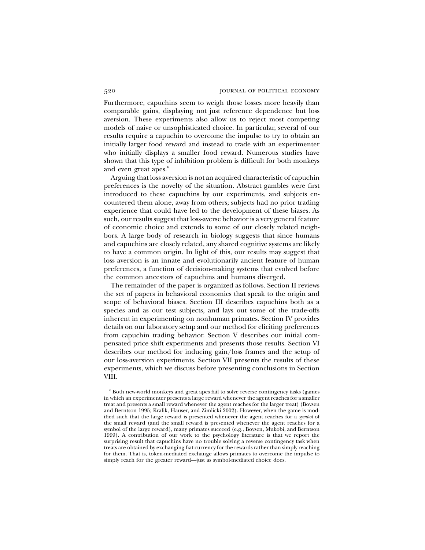Furthermore, capuchins seem to weigh those losses more heavily than comparable gains, displaying not just reference dependence but loss aversion. These experiments also allow us to reject most competing models of naive or unsophisticated choice. In particular, several of our results require a capuchin to overcome the impulse to try to obtain an initially larger food reward and instead to trade with an experimenter who initially displays a smaller food reward. Numerous studies have shown that this type of inhibition problem is difficult for both monkeys and even great apes.<sup>6</sup>

Arguing that loss aversion is not an acquired characteristic of capuchin preferences is the novelty of the situation. Abstract gambles were first introduced to these capuchins by our experiments, and subjects encountered them alone, away from others; subjects had no prior trading experience that could have led to the development of these biases. As such, our results suggest that loss-averse behavior is a very general feature of economic choice and extends to some of our closely related neighbors. A large body of research in biology suggests that since humans and capuchins are closely related, any shared cognitive systems are likely to have a common origin. In light of this, our results may suggest that loss aversion is an innate and evolutionarily ancient feature of human preferences, a function of decision-making systems that evolved before the common ancestors of capuchins and humans diverged.

The remainder of the paper is organized as follows. Section II reviews the set of papers in behavioral economics that speak to the origin and scope of behavioral biases. Section III describes capuchins both as a species and as our test subjects, and lays out some of the trade-offs inherent in experimenting on nonhuman primates. Section IV provides details on our laboratory setup and our method for eliciting preferences from capuchin trading behavior. Section V describes our initial compensated price shift experiments and presents those results. Section VI describes our method for inducing gain/loss frames and the setup of our loss-aversion experiments. Section VII presents the results of these experiments, which we discuss before presenting conclusions in Section VIII.

 $6$  Both new-world monkeys and great apes fail to solve reverse contingency tasks (games in which an experimenter presents a large reward whenever the agent reaches for a smaller treat and presents a small reward whenever the agent reaches for the larger treat) (Boysen and Berntson 1995; Kralik, Hauser, and Zimlicki 2002). However, when the game is modified such that the large reward is presented whenever the agent reaches for a *symbol* of the small reward (and the small reward is presented whenever the agent reaches for a symbol of the large reward), many primates succeed (e.g., Boysen, Mukobi, and Berntson 1999). A contribution of our work to the psychology literature is that we report the surprising result that capuchins have no trouble solving a reverse contingency task when treats are obtained by exchanging fiat currency for the rewards rather than simply reaching for them. That is, token-mediated exchange allows primates to overcome the impulse to simply reach for the greater reward—just as symbol-mediated choice does.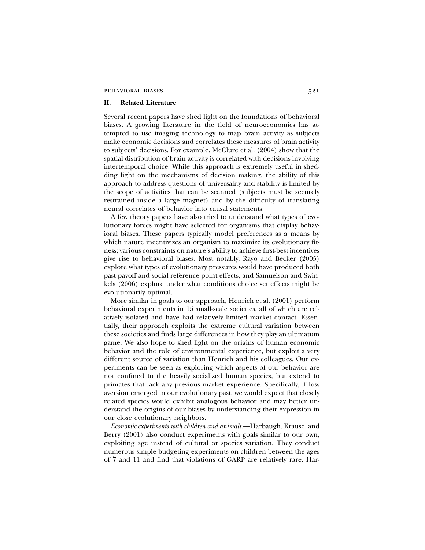## **II. Related Literature**

Several recent papers have shed light on the foundations of behavioral biases. A growing literature in the field of neuroeconomics has attempted to use imaging technology to map brain activity as subjects make economic decisions and correlates these measures of brain activity to subjects' decisions. For example, McClure et al. (2004) show that the spatial distribution of brain activity is correlated with decisions involving intertemporal choice. While this approach is extremely useful in shedding light on the mechanisms of decision making, the ability of this approach to address questions of universality and stability is limited by the scope of activities that can be scanned (subjects must be securely restrained inside a large magnet) and by the difficulty of translating neural correlates of behavior into causal statements.

A few theory papers have also tried to understand what types of evolutionary forces might have selected for organisms that display behavioral biases. These papers typically model preferences as a means by which nature incentivizes an organism to maximize its evolutionary fitness; various constraints on nature's ability to achieve first-best incentives give rise to behavioral biases. Most notably, Rayo and Becker (2005) explore what types of evolutionary pressures would have produced both past payoff and social reference point effects, and Samuelson and Swinkels (2006) explore under what conditions choice set effects might be evolutionarily optimal.

More similar in goals to our approach, Henrich et al. (2001) perform behavioral experiments in 15 small-scale societies, all of which are relatively isolated and have had relatively limited market contact. Essentially, their approach exploits the extreme cultural variation between these societies and finds large differences in how they play an ultimatum game. We also hope to shed light on the origins of human economic behavior and the role of environmental experience, but exploit a very different source of variation than Henrich and his colleagues. Our experiments can be seen as exploring which aspects of our behavior are not confined to the heavily socialized human species, but extend to primates that lack any previous market experience. Specifically, if loss aversion emerged in our evolutionary past, we would expect that closely related species would exhibit analogous behavior and may better understand the origins of our biases by understanding their expression in our close evolutionary neighbors.

*Economic experiments with children and animals*.—Harbaugh, Krause, and Berry (2001) also conduct experiments with goals similar to our own, exploiting age instead of cultural or species variation. They conduct numerous simple budgeting experiments on children between the ages of 7 and 11 and find that violations of GARP are relatively rare. Har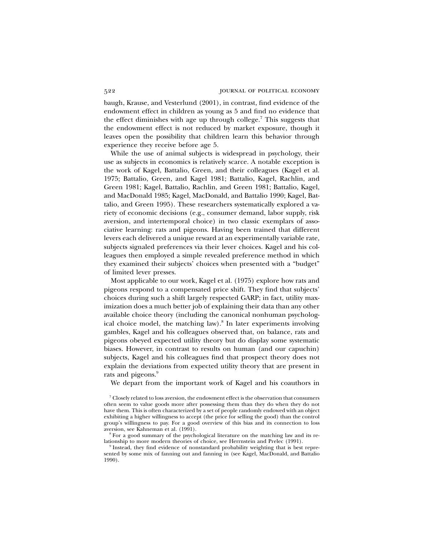baugh, Krause, and Vesterlund (2001), in contrast, find evidence of the endowment effect in children as young as 5 and find no evidence that the effect diminishes with age up through college.<sup>7</sup> This suggests that the endowment effect is not reduced by market exposure, though it leaves open the possibility that children learn this behavior through experience they receive before age 5.

While the use of animal subjects is widespread in psychology, their use as subjects in economics is relatively scarce. A notable exception is the work of Kagel, Battalio, Green, and their colleagues (Kagel et al. 1975; Battalio, Green, and Kagel 1981; Battalio, Kagel, Rachlin, and Green 1981; Kagel, Battalio, Rachlin, and Green 1981; Battalio, Kagel, and MacDonald 1985; Kagel, MacDonald, and Battalio 1990; Kagel, Battalio, and Green 1995). These researchers systematically explored a variety of economic decisions (e.g., consumer demand, labor supply, risk aversion, and intertemporal choice) in two classic exemplars of associative learning: rats and pigeons. Having been trained that different levers each delivered a unique reward at an experimentally variable rate, subjects signaled preferences via their lever choices. Kagel and his colleagues then employed a simple revealed preference method in which they examined their subjects' choices when presented with a "budget" of limited lever presses.

Most applicable to our work, Kagel et al. (1975) explore how rats and pigeons respond to a compensated price shift. They find that subjects' choices during such a shift largely respected GARP; in fact, utility maximization does a much better job of explaining their data than any other available choice theory (including the canonical nonhuman psychological choice model, the matching law). $8$  In later experiments involving gambles, Kagel and his colleagues observed that, on balance, rats and pigeons obeyed expected utility theory but do display some systematic biases. However, in contrast to results on human (and our capuchin) subjects, Kagel and his colleagues find that prospect theory does not explain the deviations from expected utility theory that are present in rats and pigeons.<sup>9</sup>

We depart from the important work of Kagel and his coauthors in

 $7$  Closely related to loss aversion, the endowment effect is the observation that consumers often seem to value goods more after possessing them than they do when they do not have them. This is often characterized by a set of people randomly endowed with an object exhibiting a higher willingness to accept (the price for selling the good) than the control group's willingness to pay. For a good overview of this bias and its connection to loss aversion, see Kahneman et al. (1991).

<sup>&</sup>lt;sup>8</sup> For a good summary of the psychological literature on the matching law and its relationship to more modern theories of choice, see Herrnstein and Prelec (1991).

<sup>9</sup> Instead, they find evidence of nonstandard probability weighting that is best represented by some mix of fanning out and fanning in (see Kagel, MacDonald, and Battalio 1990).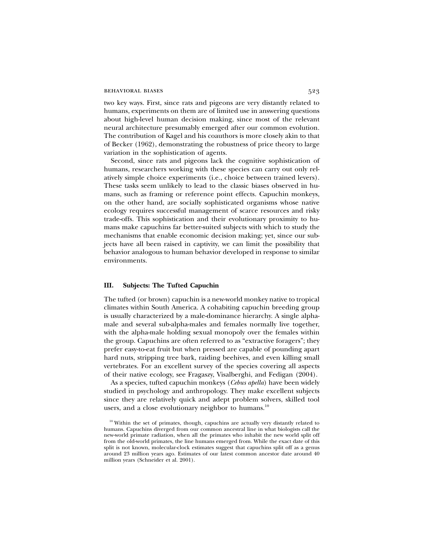two key ways. First, since rats and pigeons are very distantly related to humans, experiments on them are of limited use in answering questions about high-level human decision making, since most of the relevant neural architecture presumably emerged after our common evolution. The contribution of Kagel and his coauthors is more closely akin to that of Becker (1962), demonstrating the robustness of price theory to large variation in the sophistication of agents.

Second, since rats and pigeons lack the cognitive sophistication of humans, researchers working with these species can carry out only relatively simple choice experiments (i.e., choice between trained levers). These tasks seem unlikely to lead to the classic biases observed in humans, such as framing or reference point effects. Capuchin monkeys, on the other hand, are socially sophisticated organisms whose native ecology requires successful management of scarce resources and risky trade-offs. This sophistication and their evolutionary proximity to humans make capuchins far better-suited subjects with which to study the mechanisms that enable economic decision making; yet, since our subjects have all been raised in captivity, we can limit the possibility that behavior analogous to human behavior developed in response to similar environments.

## **III. Subjects: The Tufted Capuchin**

The tufted (or brown) capuchin is a new-world monkey native to tropical climates within South America. A cohabiting capuchin breeding group is usually characterized by a male-dominance hierarchy. A single alphamale and several sub-alpha-males and females normally live together, with the alpha-male holding sexual monopoly over the females within the group. Capuchins are often referred to as "extractive foragers"; they prefer easy-to-eat fruit but when pressed are capable of pounding apart hard nuts, stripping tree bark, raiding beehives, and even killing small vertebrates. For an excellent survey of the species covering all aspects of their native ecology, see Fragaszy, Visalberghi, and Fedigan (2004).

As a species, tufted capuchin monkeys (*Cebus apella*) have been widely studied in psychology and anthropology. They make excellent subjects since they are relatively quick and adept problem solvers, skilled tool users, and a close evolutionary neighbor to humans. $10$ 

<sup>&</sup>lt;sup>10</sup> Within the set of primates, though, capuchins are actually very distantly related to humans. Capuchins diverged from our common ancestral line in what biologists call the new-world primate radiation, when all the primates who inhabit the new world split off from the old-world primates, the line humans emerged from. While the exact date of this split is not known, molecular-clock estimates suggest that capuchins split off as a genus around 23 million years ago. Estimates of our latest common ancestor date around 40 million years (Schneider et al. 2001).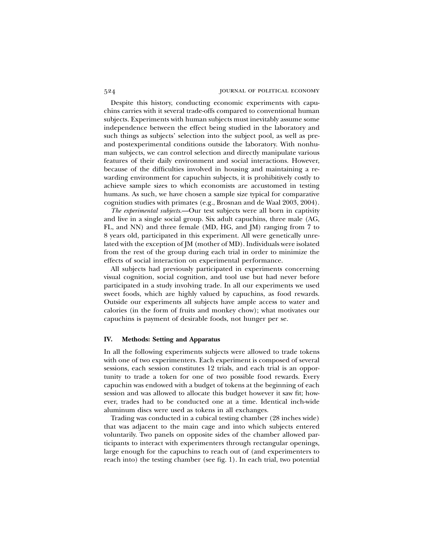Despite this history, conducting economic experiments with capuchins carries with it several trade-offs compared to conventional human subjects. Experiments with human subjects must inevitably assume some independence between the effect being studied in the laboratory and such things as subjects' selection into the subject pool, as well as preand postexperimental conditions outside the laboratory. With nonhuman subjects, we can control selection and directly manipulate various features of their daily environment and social interactions. However, because of the difficulties involved in housing and maintaining a rewarding environment for capuchin subjects, it is prohibitively costly to achieve sample sizes to which economists are accustomed in testing humans. As such, we have chosen a sample size typical for comparative cognition studies with primates (e.g., Brosnan and de Waal 2003, 2004).

*The experimental subjects*.—Our test subjects were all born in captivity and live in a single social group. Six adult capuchins, three male (AG, FL, and NN) and three female (MD, HG, and JM) ranging from 7 to 8 years old, participated in this experiment. All were genetically unrelated with the exception of JM (mother of MD). Individuals were isolated from the rest of the group during each trial in order to minimize the effects of social interaction on experimental performance.

All subjects had previously participated in experiments concerning visual cognition, social cognition, and tool use but had never before participated in a study involving trade. In all our experiments we used sweet foods, which are highly valued by capuchins, as food rewards. Outside our experiments all subjects have ample access to water and calories (in the form of fruits and monkey chow); what motivates our capuchins is payment of desirable foods, not hunger per se.

## **IV. Methods: Setting and Apparatus**

In all the following experiments subjects were allowed to trade tokens with one of two experimenters. Each experiment is composed of several sessions, each session constitutes 12 trials, and each trial is an opportunity to trade a token for one of two possible food rewards. Every capuchin was endowed with a budget of tokens at the beginning of each session and was allowed to allocate this budget however it saw fit; however, trades had to be conducted one at a time. Identical inch-wide aluminum discs were used as tokens in all exchanges.

Trading was conducted in a cubical testing chamber (28 inches wide) that was adjacent to the main cage and into which subjects entered voluntarily. Two panels on opposite sides of the chamber allowed participants to interact with experimenters through rectangular openings, large enough for the capuchins to reach out of (and experimenters to reach into) the testing chamber (see fig. 1). In each trial, two potential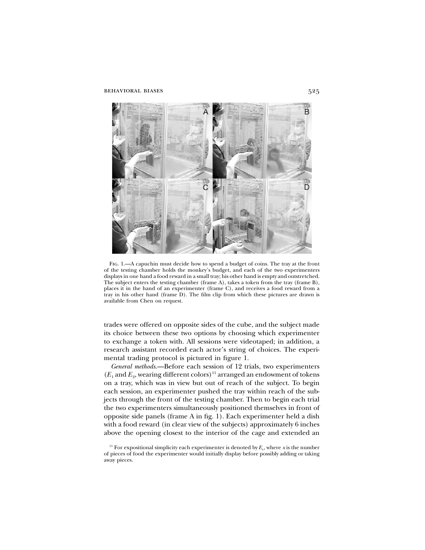

Fig. 1.—A capuchin must decide how to spend a budget of coins. The tray at the front of the testing chamber holds the monkey's budget, and each of the two experimenters displays in one hand a food reward in a small tray; his other hand is empty and outstretched. The subject enters the testing chamber (frame A), takes a token from the tray (frame B), places it in the hand of an experimenter (frame C), and receives a food reward from a tray in his other hand (frame D). The film clip from which these pictures are drawn is available from Chen on request.

trades were offered on opposite sides of the cube, and the subject made its choice between these two options by choosing which experimenter to exchange a token with. All sessions were videotaped; in addition, a research assistant recorded each actor's string of choices. The experimental trading protocol is pictured in figure 1.

*General methods*.—Before each session of 12 trials, two experimenters  $(E_1 \text{ and } E_2)$ , wearing different colors)<sup>11</sup> arranged an endowment of tokens on a tray, which was in view but out of reach of the subject. To begin each session, an experimenter pushed the tray within reach of the subjects through the front of the testing chamber. Then to begin each trial the two experimenters simultaneously positioned themselves in front of opposite side panels (frame A in fig. 1). Each experimenter held a dish with a food reward (in clear view of the subjects) approximately 6 inches above the opening closest to the interior of the cage and extended an

<sup>&</sup>lt;sup>11</sup> For expositional simplicity each experimenter is denoted by  $E_x$ , where *x* is the number of pieces of food the experimenter would initially display before possibly adding or taking away pieces.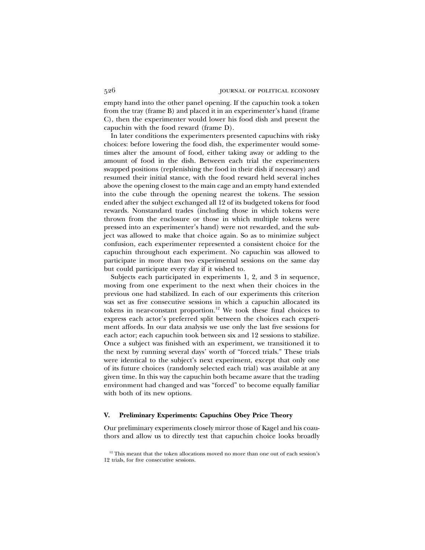empty hand into the other panel opening. If the capuchin took a token from the tray (frame B) and placed it in an experimenter's hand (frame C), then the experimenter would lower his food dish and present the capuchin with the food reward (frame D).

In later conditions the experimenters presented capuchins with risky choices: before lowering the food dish, the experimenter would sometimes alter the amount of food, either taking away or adding to the amount of food in the dish. Between each trial the experimenters swapped positions (replenishing the food in their dish if necessary) and resumed their initial stance, with the food reward held several inches above the opening closest to the main cage and an empty hand extended into the cube through the opening nearest the tokens. The session ended after the subject exchanged all 12 of its budgeted tokens for food rewards. Nonstandard trades (including those in which tokens were thrown from the enclosure or those in which multiple tokens were pressed into an experimenter's hand) were not rewarded, and the subject was allowed to make that choice again. So as to minimize subject confusion, each experimenter represented a consistent choice for the capuchin throughout each experiment. No capuchin was allowed to participate in more than two experimental sessions on the same day but could participate every day if it wished to.

Subjects each participated in experiments 1, 2, and 3 in sequence, moving from one experiment to the next when their choices in the previous one had stabilized. In each of our experiments this criterion was set as five consecutive sessions in which a capuchin allocated its tokens in near-constant proportion.<sup>12</sup> We took these final choices to express each actor's preferred split between the choices each experiment affords. In our data analysis we use only the last five sessions for each actor; each capuchin took between six and 12 sessions to stabilize. Once a subject was finished with an experiment, we transitioned it to the next by running several days' worth of "forced trials." These trials were identical to the subject's next experiment, except that only one of its future choices (randomly selected each trial) was available at any given time. In this way the capuchin both became aware that the trading environment had changed and was "forced" to become equally familiar with both of its new options.

## **V. Preliminary Experiments: Capuchins Obey Price Theory**

Our preliminary experiments closely mirror those of Kagel and his coauthors and allow us to directly test that capuchin choice looks broadly

<sup>&</sup>lt;sup>12</sup> This meant that the token allocations moved no more than one out of each session's 12 trials, for five consecutive sessions.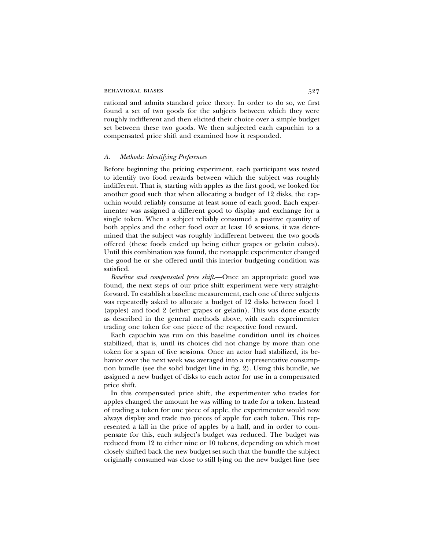rational and admits standard price theory. In order to do so, we first found a set of two goods for the subjects between which they were roughly indifferent and then elicited their choice over a simple budget set between these two goods. We then subjected each capuchin to a compensated price shift and examined how it responded.

## *A. Methods: Identifying Preferences*

Before beginning the pricing experiment, each participant was tested to identify two food rewards between which the subject was roughly indifferent. That is, starting with apples as the first good, we looked for another good such that when allocating a budget of 12 disks, the capuchin would reliably consume at least some of each good. Each experimenter was assigned a different good to display and exchange for a single token. When a subject reliably consumed a positive quantity of both apples and the other food over at least 10 sessions, it was determined that the subject was roughly indifferent between the two goods offered (these foods ended up being either grapes or gelatin cubes). Until this combination was found, the nonapple experimenter changed the good he or she offered until this interior budgeting condition was satisfied.

*Baseline and compensated price shift*.—Once an appropriate good was found, the next steps of our price shift experiment were very straightforward. To establish a baseline measurement, each one of three subjects was repeatedly asked to allocate a budget of 12 disks between food 1 (apples) and food 2 (either grapes or gelatin). This was done exactly as described in the general methods above, with each experimenter trading one token for one piece of the respective food reward.

Each capuchin was run on this baseline condition until its choices stabilized, that is, until its choices did not change by more than one token for a span of five sessions. Once an actor had stabilized, its behavior over the next week was averaged into a representative consumption bundle (see the solid budget line in fig. 2). Using this bundle, we assigned a new budget of disks to each actor for use in a compensated price shift.

In this compensated price shift, the experimenter who trades for apples changed the amount he was willing to trade for a token. Instead of trading a token for one piece of apple, the experimenter would now always display and trade two pieces of apple for each token. This represented a fall in the price of apples by a half, and in order to compensate for this, each subject's budget was reduced. The budget was reduced from 12 to either nine or 10 tokens, depending on which most closely shifted back the new budget set such that the bundle the subject originally consumed was close to still lying on the new budget line (see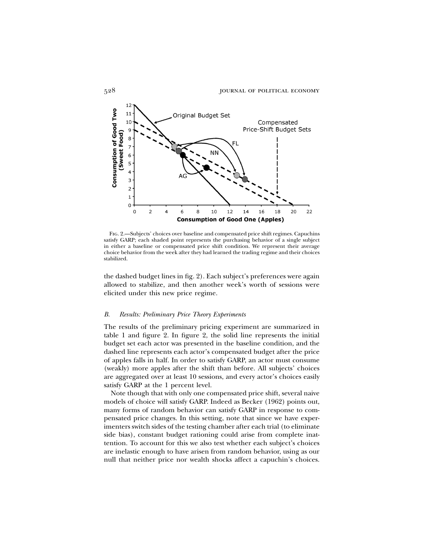

Fig. 2.—Subjects' choices over baseline and compensated price shift regimes. Capuchins satisfy GARP; each shaded point represents the purchasing behavior of a single subject in either a baseline or compensated price shift condition. We represent their average choice behavior from the week after they had learned the trading regime and their choices stabilized.

the dashed budget lines in fig. 2). Each subject's preferences were again allowed to stabilize, and then another week's worth of sessions were elicited under this new price regime.

## *B. Results: Preliminary Price Theory Experiments*

The results of the preliminary pricing experiment are summarized in table 1 and figure 2. In figure 2, the solid line represents the initial budget set each actor was presented in the baseline condition, and the dashed line represents each actor's compensated budget after the price of apples falls in half. In order to satisfy GARP, an actor must consume (weakly) more apples after the shift than before. All subjects' choices are aggregated over at least 10 sessions, and every actor's choices easily satisfy GARP at the 1 percent level.

Note though that with only one compensated price shift, several naive models of choice will satisfy GARP. Indeed as Becker (1962) points out, many forms of random behavior can satisfy GARP in response to compensated price changes. In this setting, note that since we have experimenters switch sides of the testing chamber after each trial (to eliminate side bias), constant budget rationing could arise from complete inattention. To account for this we also test whether each subject's choices are inelastic enough to have arisen from random behavior, using as our null that neither price nor wealth shocks affect a capuchin's choices.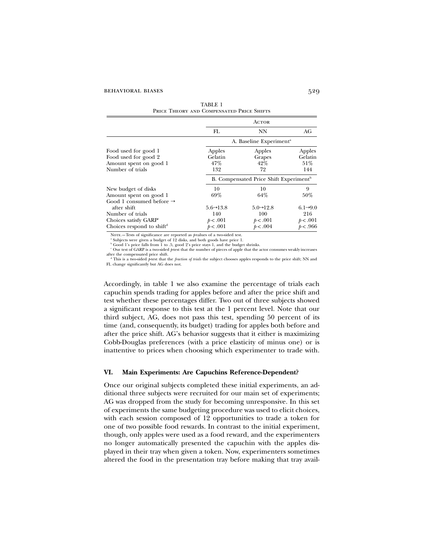TABLE 1 PRICE THEORY AND COMPENSATED PRICE SHIFTS

|                                                                                                               | <b>ACTOR</b>                                          |                                                       |                                            |  |
|---------------------------------------------------------------------------------------------------------------|-------------------------------------------------------|-------------------------------------------------------|--------------------------------------------|--|
|                                                                                                               | FL.                                                   | NΝ                                                    | AG                                         |  |
|                                                                                                               | A. Baseline Experiment <sup>a</sup>                   |                                                       |                                            |  |
| Food used for good 1<br>Food used for good 2<br>Amount spent on good 1<br>Number of trials                    | Apples<br>Gelatin<br>47%<br>132                       | Apples<br>Grapes<br>$42\%$<br>72                      | Apples<br>Gelatin<br>51%<br>144            |  |
|                                                                                                               | B. Compensated Price Shift Experiment <sup>b</sup>    |                                                       |                                            |  |
| New budget of disks<br>Amount spent on good 1<br>Good 1 consumed before $\rightarrow$                         | 10<br>69%                                             | 10<br>64%                                             | 9<br>$50\%$                                |  |
| after shift<br>Number of trials<br>Choices satisfy GARP <sup>c</sup><br>Choices respond to shift <sup>d</sup> | $5.6 \rightarrow 13.8$<br>140<br>p < .001<br>p < .001 | $5.0 \rightarrow 12.8$<br>100<br>p < .001<br>p < .004 | $6.1 - 9.0$<br>216<br>p < .001<br>p < .966 |  |

NOTE.—Tests of significance are reported as *b*-values of a two-sided test.

<sup>a</sup> Subjects were given a budget of 12 disks, and both goods have price 1.

<sup>b</sup> Good 1's price falls from 1 to .5, good 2's price stays 1, and the budget shrinks. <sup>c</sup> Our test of GARP is a two-sided *p*-test that the number of pieces of apple that the actor consumes weakly increases

after the compensated price shift.<br><sup>d</sup> This is a two-sided *p*-test that the *fraction of trials* the subject chooses apples responds to the price shift; NN and FL change significantly but AG does not.

Accordingly, in table 1 we also examine the percentage of trials each capuchin spends trading for apples before and after the price shift and test whether these percentages differ. Two out of three subjects showed a significant response to this test at the 1 percent level. Note that our third subject, AG, does not pass this test, spending 50 percent of its time (and, consequently, its budget) trading for apples both before and after the price shift. AG's behavior suggests that it either is maximizing Cobb-Douglas preferences (with a price elasticity of minus one) or is inattentive to prices when choosing which experimenter to trade with.

## **VI. Main Experiments: Are Capuchins Reference-Dependent?**

Once our original subjects completed these initial experiments, an additional three subjects were recruited for our main set of experiments; AG was dropped from the study for becoming unresponsive. In this set of experiments the same budgeting procedure was used to elicit choices, with each session composed of 12 opportunities to trade a token for one of two possible food rewards. In contrast to the initial experiment, though, only apples were used as a food reward, and the experimenters no longer automatically presented the capuchin with the apples displayed in their tray when given a token. Now, experimenters sometimes altered the food in the presentation tray before making that tray avail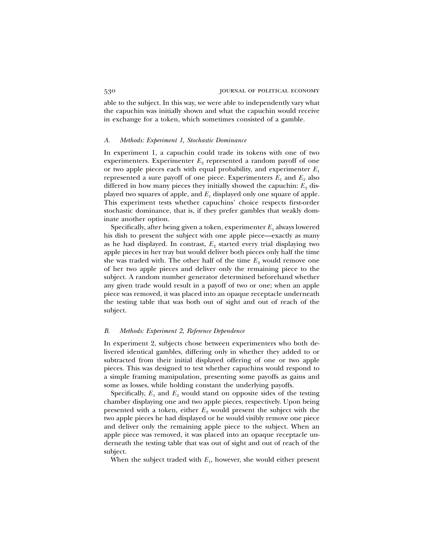able to the subject. In this way, we were able to independently vary what the capuchin was initially shown and what the capuchin would receive in exchange for a token, which sometimes consisted of a gamble.

## *A. Methods: Experiment 1, Stochastic Dominance*

In experiment 1, a capuchin could trade its tokens with one of two experimenters. Experimenter  $E<sub>2</sub>$  represented a random payoff of one or two apple pieces each with equal probability, and experimenter *E*<sup>1</sup> represented a sure payoff of one piece. Experimenters  $E_1$  and  $E_2$  also differed in how many pieces they initially showed the capuchin:  $E<sub>2</sub>$  displayed two squares of apple, and  $E_1$  displayed only one square of apple. This experiment tests whether capuchins' choice respects first-order stochastic dominance, that is, if they prefer gambles that weakly dominate another option.

Specifically, after being given a token, experimenter  $E_1$  always lowered his dish to present the subject with one apple piece—exactly as many as he had displayed. In contrast,  $E_2$  started every trial displaying two apple pieces in her tray but would deliver both pieces only half the time she was traded with. The other half of the time  $E_2$  would remove one of her two apple pieces and deliver only the remaining piece to the subject. A random number generator determined beforehand whether any given trade would result in a payoff of two or one; when an apple piece was removed, it was placed into an opaque receptacle underneath the testing table that was both out of sight and out of reach of the subject.

## *B. Methods: Experiment 2, Reference Dependence*

In experiment 2, subjects chose between experimenters who both delivered identical gambles, differing only in whether they added to or subtracted from their initial displayed offering of one or two apple pieces. This was designed to test whether capuchins would respond to a simple framing manipulation, presenting some payoffs as gains and some as losses, while holding constant the underlying payoffs.

Specifically,  $E_1$  and  $E_2$  would stand on opposite sides of the testing chamber displaying one and two apple pieces, respectively. Upon being presented with a token, either  $E_2$  would present the subject with the two apple pieces he had displayed or he would visibly remove one piece and deliver only the remaining apple piece to the subject. When an apple piece was removed, it was placed into an opaque receptacle underneath the testing table that was out of sight and out of reach of the subject.

When the subject traded with  $E_1$ , however, she would either present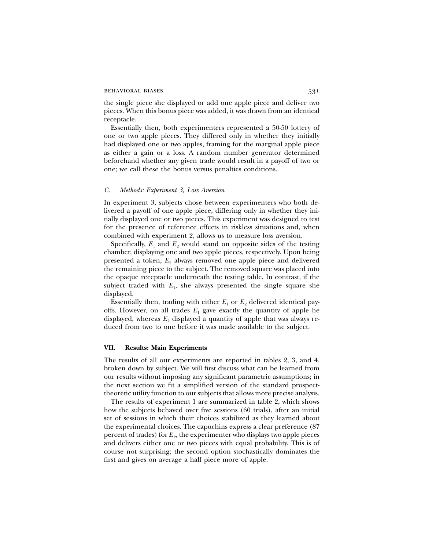the single piece she displayed or add one apple piece and deliver two pieces. When this bonus piece was added, it was drawn from an identical receptacle.

Essentially then, both experimenters represented a 50-50 lottery of one or two apple pieces. They differed only in whether they initially had displayed one or two apples, framing for the marginal apple piece as either a gain or a loss. A random number generator determined beforehand whether any given trade would result in a payoff of two or one; we call these the bonus versus penalties conditions.

### *C. Methods: Experiment 3, Loss Aversion*

In experiment 3, subjects chose between experimenters who both delivered a payoff of one apple piece, differing only in whether they initially displayed one or two pieces. This experiment was designed to test for the presence of reference effects in riskless situations and, when combined with experiment 2, allows us to measure loss aversion.

Specifically,  $E_1$  and  $E_2$  would stand on opposite sides of the testing chamber, displaying one and two apple pieces, respectively. Upon being presented a token,  $E_2$  always removed one apple piece and delivered the remaining piece to the subject. The removed square was placed into the opaque receptacle underneath the testing table. In contrast, if the subject traded with  $E_1$ , she always presented the single square she displayed.

Essentially then, trading with either  $E_1$  or  $E_2$  delivered identical payoffs. However, on all trades  $E_1$  gave exactly the quantity of apple he displayed, whereas  $E_2$  displayed a quantity of apple that was always reduced from two to one before it was made available to the subject.

## **VII. Results: Main Experiments**

The results of all our experiments are reported in tables 2, 3, and 4, broken down by subject. We will first discuss what can be learned from our results without imposing any significant parametric assumptions; in the next section we fit a simplified version of the standard prospecttheoretic utility function to our subjects that allows more precise analysis.

The results of experiment 1 are summarized in table 2, which shows how the subjects behaved over five sessions (60 trials), after an initial set of sessions in which their choices stabilized as they learned about the experimental choices. The capuchins express a clear preference (87 percent of trades) for  $E_2$ , the experimenter who displays two apple pieces and delivers either one or two pieces with equal probability. This is of course not surprising; the second option stochastically dominates the first and gives on average a half piece more of apple.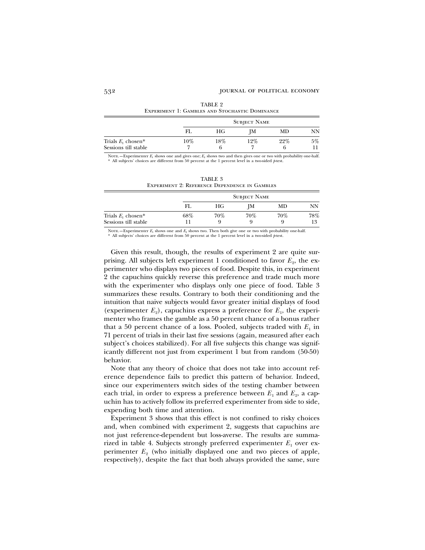| EXPERIMENT 1: GAMBLES AND STOCHASTIC DOMINANCE |                     |          |     |     |       |  |
|------------------------------------------------|---------------------|----------|-----|-----|-------|--|
|                                                | <b>SUBJECT NAME</b> |          |     |     |       |  |
|                                                | FL.                 | НG       | IМ  | MD  | NΝ    |  |
| Trials $E_1$ chosen*<br>Sessions till stable   | $10\%$              | 18%<br>h | 12% | 22% | $5\%$ |  |

TABLE 2

Note.—Experimenter  $E_1$  shows one and gives one;  $E_2$  shows two and then gives one or two with probability one-half. All subjects' choices are different from 50 percent at the 1 percent level in a two-sided  $p$ -test.

| TABLE 3 |                                                      |  |  |  |  |
|---------|------------------------------------------------------|--|--|--|--|
|         | <b>EXPERIMENT 2: REFERENCE DEPENDENCE IN GAMBLES</b> |  |  |  |  |

|                                              | <b>SUBJECT NAME</b> |             |        |        |        |
|----------------------------------------------|---------------------|-------------|--------|--------|--------|
|                                              | FL                  | НG          | IМ     | MD     | NΝ     |
| Trials $E_1$ chosen*<br>Sessions till stable | 68%                 | $70\%$<br>9 | $70\%$ | $70\%$ | $78\%$ |

NOTE.—Experimenter  $E_1$  shows one and  $E_2$  shows two. Then both give one or two with probability one-half. \* All subjects' choices are different from 50 percent at the 1 percent level in a two-sided *p*-test.

Given this result, though, the results of experiment 2 are quite surprising. All subjects left experiment 1 conditioned to favor  $E_2$ , the experimenter who displays two pieces of food. Despite this, in experiment 2 the capuchins quickly reverse this preference and trade much more with the experimenter who displays only one piece of food. Table 3 summarizes these results. Contrary to both their conditioning and the intuition that naive subjects would favor greater initial displays of food (experimenter  $E_2$ ), capuchins express a preference for  $E_1$ , the experimenter who frames the gamble as a 50 percent chance of a bonus rather that a 50 percent chance of a loss. Pooled, subjects traded with  $E_1$  in 71 percent of trials in their last five sessions (again, measured after each subject's choices stabilized). For all five subjects this change was significantly different not just from experiment 1 but from random (50-50) behavior.

Note that any theory of choice that does not take into account reference dependence fails to predict this pattern of behavior. Indeed, since our experimenters switch sides of the testing chamber between each trial, in order to express a preference between  $E_1$  and  $E_2$ , a capuchin has to actively follow its preferred experimenter from side to side, expending both time and attention.

Experiment 3 shows that this effect is not confined to risky choices and, when combined with experiment 2, suggests that capuchins are not just reference-dependent but loss-averse. The results are summarized in table 4. Subjects strongly preferred experimenter  $E_1$  over experimenter  $E_2$  (who initially displayed one and two pieces of apple, respectively), despite the fact that both always provided the same, sure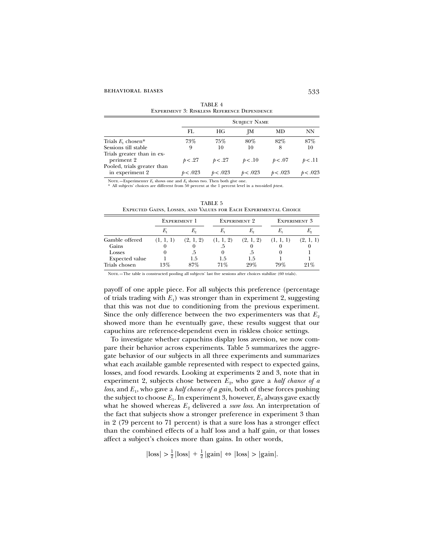| <b>EXPERIMENT 3: RISKLESS REFERENCE DEPENDENCE</b> |                     |          |          |          |          |  |
|----------------------------------------------------|---------------------|----------|----------|----------|----------|--|
|                                                    | <b>SUBJECT NAME</b> |          |          |          |          |  |
|                                                    | FL.                 | HG.      | JΜ       | MD       | NΝ       |  |
| Trials $E_1$ chosen*                               | 73%                 | 75%      | $80\%$   | $82\%$   | 87%      |  |
| Sessions till stable                               | 9                   | 10       | 10       | 8        | 10       |  |
| Trials greater than in ex-<br>periment 2           | p < .27             | p < .27  | p < .10  | p < .07  | p<.11    |  |
| Pooled, trials greater than<br>in experiment 2     | p < .023            | p < .023 | p < .023 | p < .023 | b < .023 |  |

TABLE 4

NOTE.—Experimenter  $E_1$  shows one and  $E_2$  shows two. Then both give one. \* All subjects' choices are different from 50 percent at the 1 percent level in a two-sided *p*-test.

| TABLE 5                                                         |  |  |  |  |  |
|-----------------------------------------------------------------|--|--|--|--|--|
| EXPECTED GAINS, LOSSES, AND VALUES FOR EACH EXPERIMENTAL CHOICE |  |  |  |  |  |

|                | EXPERIMENT 1 |           | <b>EXPERIMENT 2</b> |           | EXPERIMENT 3 |           |
|----------------|--------------|-----------|---------------------|-----------|--------------|-----------|
|                | E            | E.        | E.                  | E,        |              | Ł,        |
| Gamble offered | (1, 1, 1)    | (2, 1, 2) | (1, 1, 2)           | (2, 1, 2) | (1, 1, 1)    | (2, 1, 1) |
| Gains          |              |           |                     |           |              |           |
| Losses         |              | .b        |                     | .b        |              |           |
| Expected value |              | 1.5       | 1.5                 | 1.5       |              |           |
| Trials chosen  | $13\%$       | 87%       | 71%                 | 29%       | 79%          | 21%       |

Note.—The table is constructed pooling all subjects' last five sessions after choices stabilize (60 trials).

payoff of one apple piece. For all subjects this preference (percentage of trials trading with  $E_1$ ) was stronger than in experiment 2, suggesting that this was not due to conditioning from the previous experiment. Since the only difference between the two experimenters was that  $E_2$ showed more than he eventually gave, these results suggest that our capuchins are reference-dependent even in riskless choice settings.

To investigate whether capuchins display loss aversion, we now compare their behavior across experiments. Table 5 summarizes the aggregate behavior of our subjects in all three experiments and summarizes what each available gamble represented with respect to expected gains, losses, and food rewards. Looking at experiments 2 and 3, note that in experiment 2, subjects chose between  $E_2$ , who gave a *half chance of a loss*, and  $E_1$ , who gave a *half chance of a gain*, both of these forces pushing the subject to choose  $E_1$ . In experiment 3, however,  $E_1$  always gave exactly what he showed whereas  $E_2$  delivered a *sure loss*. An interpretation of the fact that subjects show a stronger preference in experiment 3 than in 2 (79 percent to 71 percent) is that a sure loss has a stronger effect than the combined effects of a half loss and a half gain, or that losses affect a subject's choices more than gains. In other words,

 $|\text{loss}| > \frac{1}{2} |\text{loss}| + \frac{1}{2} |\text{gain}| \Leftrightarrow |\text{loss}| > |\text{gain}|.$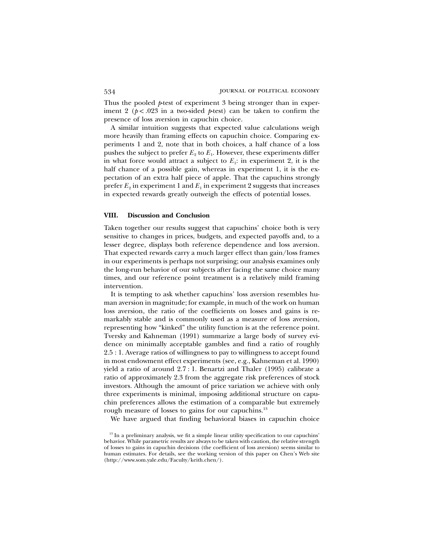Thus the pooled *p*-test of experiment 3 being stronger than in experiment 2 ( $p < .023$  in a two-sided  $p$ -test) can be taken to confirm the presence of loss aversion in capuchin choice.

A similar intuition suggests that expected value calculations weigh more heavily than framing effects on capuchin choice. Comparing experiments 1 and 2, note that in both choices, a half chance of a loss pushes the subject to prefer  $E_2$  to  $E_1$ . However, these experiments differ in what force would attract a subject to  $E_1$ : in experiment 2, it is the half chance of a possible gain, whereas in experiment 1, it is the expectation of an extra half piece of apple. That the capuchins strongly prefer  $E_2$  in experiment 1 and  $E_1$  in experiment 2 suggests that increases in expected rewards greatly outweigh the effects of potential losses.

## **VIII. Discussion and Conclusion**

Taken together our results suggest that capuchins' choice both is very sensitive to changes in prices, budgets, and expected payoffs and, to a lesser degree, displays both reference dependence and loss aversion. That expected rewards carry a much larger effect than gain/loss frames in our experiments is perhaps not surprising; our analysis examines only the long-run behavior of our subjects after facing the same choice many times, and our reference point treatment is a relatively mild framing intervention.

It is tempting to ask whether capuchins' loss aversion resembles human aversion in magnitude; for example, in much of the work on human loss aversion, the ratio of the coefficients on losses and gains is remarkably stable and is commonly used as a measure of loss aversion, representing how "kinked" the utility function is at the reference point. Tversky and Kahneman (1991) summarize a large body of survey evidence on minimally acceptable gambles and find a ratio of roughly 2.5 : 1. Average ratios of willingness to pay to willingness to accept found in most endowment effect experiments (see, e.g., Kahneman et al. 1990) yield a ratio of around 2.7 : 1. Benartzi and Thaler (1995) calibrate a ratio of approximately 2.3 from the aggregate risk preferences of stock investors. Although the amount of price variation we achieve with only three experiments is minimal, imposing additional structure on capuchin preferences allows the estimation of a comparable but extremely rough measure of losses to gains for our capuchins.<sup>13</sup>

We have argued that finding behavioral biases in capuchin choice

<sup>&</sup>lt;sup>13</sup> In a preliminary analysis, we fit a simple linear utility specification to our capuchins' behavior. While parametric results are always to be taken with caution, the relative strength of losses to gains in capuchin decisions (the coefficient of loss aversion) seems similar to human estimates. For details, see the working version of this paper on Chen's Web site (http://www.som.yale.edu/Faculty/keith.chen/).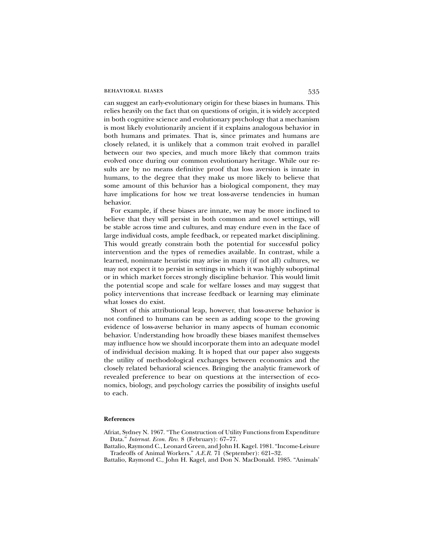## **BEHAVIORAL BIASES** 535

can suggest an early-evolutionary origin for these biases in humans. This relies heavily on the fact that on questions of origin, it is widely accepted in both cognitive science and evolutionary psychology that a mechanism is most likely evolutionarily ancient if it explains analogous behavior in both humans and primates. That is, since primates and humans are closely related, it is unlikely that a common trait evolved in parallel between our two species, and much more likely that common traits evolved once during our common evolutionary heritage. While our results are by no means definitive proof that loss aversion is innate in humans, to the degree that they make us more likely to believe that some amount of this behavior has a biological component, they may have implications for how we treat loss-averse tendencies in human behavior.

For example, if these biases are innate, we may be more inclined to believe that they will persist in both common and novel settings, will be stable across time and cultures, and may endure even in the face of large individual costs, ample feedback, or repeated market disciplining. This would greatly constrain both the potential for successful policy intervention and the types of remedies available. In contrast, while a learned, noninnate heuristic may arise in many (if not all) cultures, we may not expect it to persist in settings in which it was highly suboptimal or in which market forces strongly discipline behavior. This would limit the potential scope and scale for welfare losses and may suggest that policy interventions that increase feedback or learning may eliminate what losses do exist.

Short of this attributional leap, however, that loss-averse behavior is not confined to humans can be seen as adding scope to the growing evidence of loss-averse behavior in many aspects of human economic behavior. Understanding how broadly these biases manifest themselves may influence how we should incorporate them into an adequate model of individual decision making. It is hoped that our paper also suggests the utility of methodological exchanges between economics and the closely related behavioral sciences. Bringing the analytic framework of revealed preference to bear on questions at the intersection of economics, biology, and psychology carries the possibility of insights useful to each.

#### **References**

Battalio, Raymond C., John H. Kagel, and Don N. MacDonald. 1985. "Animals'

Afriat, Sydney N. 1967. "The Construction of Utility Functions from Expenditure Data." *Internat. Econ. Rev.* 8 (February): 67–77.

Battalio, Raymond C., Leonard Green, and John H. Kagel. 1981. "Income-Leisure Tradeoffs of Animal Workers." *A.E.R.* 71 (September): 621–32.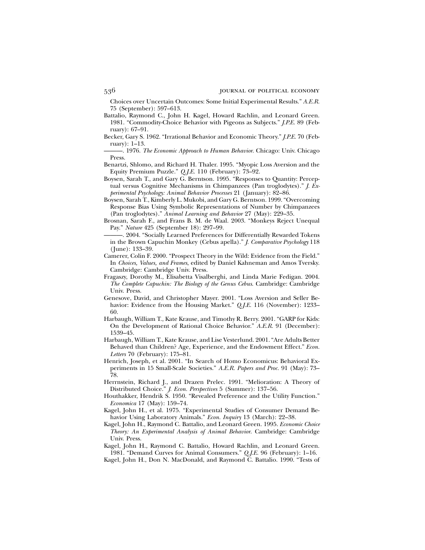Choices over Uncertain Outcomes: Some Initial Experimental Results." *A.E.R.* 75 (September): 597–613.

- Battalio, Raymond C., John H. Kagel, Howard Rachlin, and Leonard Green. 1981. "Commodity-Choice Behavior with Pigeons as Subjects." *J.P.E.* 89 (February): 67–91.
- Becker, Gary S. 1962. "Irrational Behavior and Economic Theory." *J.P.E.* 70 (February): 1–13.
- ———. 1976. *The Economic Approach to Human Behavior*. Chicago: Univ. Chicago Press.
- Benartzi, Shlomo, and Richard H. Thaler. 1995. "Myopic Loss Aversion and the Equity Premium Puzzle." *Q.J.E.* 110 (February): 73–92.
- Boysen, Sarah T., and Gary G. Berntson. 1995. "Responses to Quantity: Perceptual versus Cognitive Mechanisms in Chimpanzees (Pan troglodytes)." *J. Experimental Psychology: Animal Behavior Processes* 21 (January): 82–86.
- Boysen, Sarah T., Kimberly L. Mukobi, and Gary G. Berntson. 1999. "Overcoming Response Bias Using Symbolic Representations of Number by Chimpanzees (Pan troglodytes)." *Animal Learning and Behavior* 27 (May): 229–35.
- Brosnan, Sarah F., and Frans B. M. de Waal. 2003. "Monkeys Reject Unequal Pay." *Nature* 425 (September 18): 297–99.
- -. 2004. "Socially Learned Preferences for Differentially Rewarded Tokens in the Brown Capuchin Monkey (Cebus apella)." *J. Comparative Psychology* 118 (June): 133–39.
- Camerer, Colin F. 2000. "Prospect Theory in the Wild: Evidence from the Field." In *Choices, Values, and Frames*, edited by Daniel Kahneman and Amos Tversky. Cambridge: Cambridge Univ. Press.
- Fragaszy, Dorothy M., Elisabetta Visalberghi, and Linda Marie Fedigan. 2004. *The Complete Capuchin: The Biology of the Genus Cebus*. Cambridge: Cambridge Univ. Press.
- Genesove, David, and Christopher Mayer. 2001. "Loss Aversion and Seller Behavior: Evidence from the Housing Market." *Q.J.E.* 116 (November): 1233– 60.
- Harbaugh, William T., Kate Krause, and Timothy R. Berry. 2001. "GARP for Kids: On the Development of Rational Choice Behavior." *A.E.R.* 91 (December): 1539–45.
- Harbaugh, William T., Kate Krause, and Lise Vesterlund. 2001. "Are Adults Better Behaved than Children? Age, Experience, and the Endowment Effect." *Econ. Letters* 70 (February): 175–81.
- Henrich, Joseph, et al. 2001. "In Search of Homo Economicus: Behavioral Experiments in 15 Small-Scale Societies." *A.E.R. Papers and Proc.* 91 (May): 73– 78.
- Herrnstein, Richard J., and Drazen Prelec. 1991. "Melioration: A Theory of Distributed Choice." *J. Econ. Perspectives* 5 (Summer): 137–56.
- Houthakker, Hendrik S. 1950. "Revealed Preference and the Utility Function." *Economica* 17 (May): 159–74.
- Kagel, John H., et al. 1975. "Experimental Studies of Consumer Demand Behavior Using Laboratory Animals." *Econ. Inquiry* 13 (March): 22–38.
- Kagel, John H., Raymond C. Battalio, and Leonard Green. 1995. *Economic Choice Theory: An Experimental Analysis of Animal Behavior*. Cambridge: Cambridge Univ. Press.
- Kagel, John H., Raymond C. Battalio, Howard Rachlin, and Leonard Green. 1981. "Demand Curves for Animal Consumers." *Q.J.E.* 96 (February): 1–16.
- Kagel, John H., Don N. MacDonald, and Raymond C. Battalio. 1990. "Tests of